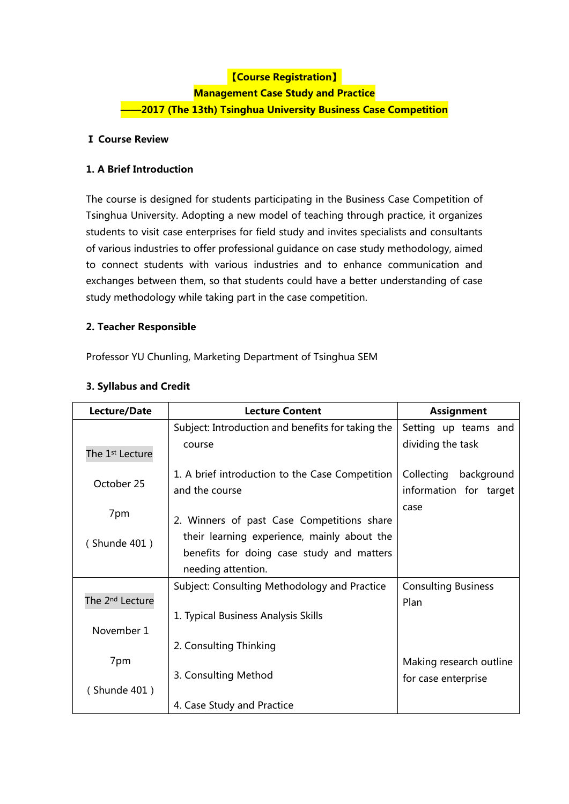# **【Course Registration】**

### **Management Case Study and Practice**

**——2017 (The 13th) Tsinghua University Business Case Competition**

## **Ⅰ Course Review**

## **1. A Brief Introduction**

The course is designed for students participating in the Business Case Competition of Tsinghua University. Adopting a new model of teaching through practice, it organizes students to visit case enterprises for field study and invites specialists and consultants of various industries to offer professional guidance on case study methodology, aimed to connect students with various industries and to enhance communication and exchanges between them, so that students could have a better understanding of case study methodology while taking part in the case competition.

### **2. Teacher Responsible**

Professor YU Chunling, Marketing Department of Tsinghua SEM

| Lecture/Date                | <b>Lecture Content</b>                                                                   | <b>Assignment</b>                                  |
|-----------------------------|------------------------------------------------------------------------------------------|----------------------------------------------------|
|                             | Subject: Introduction and benefits for taking the                                        | Setting up teams and                               |
| The 1 <sup>st</sup> Lecture | course                                                                                   | dividing the task                                  |
| October 25                  | 1. A brief introduction to the Case Competition<br>and the course                        | Collecting<br>background<br>information for target |
| 7pm                         | 2. Winners of past Case Competitions share                                               | case                                               |
| (Shunde 401)                | their learning experience, mainly about the<br>benefits for doing case study and matters |                                                    |
|                             | needing attention.                                                                       |                                                    |
|                             | Subject: Consulting Methodology and Practice                                             | <b>Consulting Business</b>                         |
| The 2 <sup>nd</sup> Lecture |                                                                                          | Plan                                               |
| November 1                  | 1. Typical Business Analysis Skills                                                      |                                                    |
|                             | 2. Consulting Thinking                                                                   |                                                    |
| 7pm                         |                                                                                          | Making research outline                            |
| (Shunde 401)                | 3. Consulting Method                                                                     | for case enterprise                                |
|                             | 4. Case Study and Practice                                                               |                                                    |

# **3. Syllabus and Credit**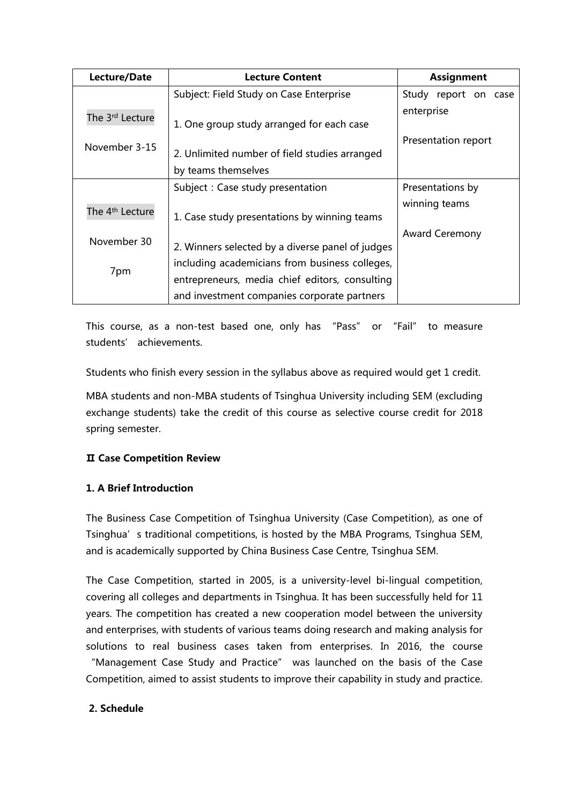| Lecture/Date                | <b>Lecture Content</b>                                               | <b>Assignment</b>     |  |
|-----------------------------|----------------------------------------------------------------------|-----------------------|--|
|                             | Subject: Field Study on Case Enterprise                              | Study report on case  |  |
| The 3 <sup>rd</sup> Lecture | 1. One group study arranged for each case                            | enterprise            |  |
| November 3-15               | 2. Unlimited number of field studies arranged<br>by teams themselves | Presentation report   |  |
|                             | Subject: Case study presentation                                     | Presentations by      |  |
| The 4 <sup>th</sup> Lecture | 1. Case study presentations by winning teams                         | winning teams         |  |
| November 30                 | 2. Winners selected by a diverse panel of judges                     | <b>Award Ceremony</b> |  |
| 7pm                         | including academicians from business colleges,                       |                       |  |
|                             | entrepreneurs, media chief editors, consulting                       |                       |  |
|                             | and investment companies corporate partners                          |                       |  |

This course, as a non-test based one, only has "Pass" or "Fail" to measure students' achievements.

Students who finish every session in the syllabus above as required would get 1 credit.

MBA students and non-MBA students of Tsinghua University including SEM (excluding exchange students) take the credit of this course as selective course credit for 2018 spring semester.

# **Ⅱ Case Competition Review**

# **1. A Brief Introduction**

The Business Case Competition of Tsinghua University (Case Competition), as one of Tsinghua's traditional competitions, is hosted by the MBA Programs, Tsinghua SEM, and is academically supported by China Business Case Centre, Tsinghua SEM.

The Case Competition, started in 2005, is a university-level bi-lingual competition, covering all colleges and departments in Tsinghua. It has been successfully held for 11 years. The competition has created a new cooperation model between the university and enterprises, with students of various teams doing research and making analysis for solutions to real business cases taken from enterprises. In 2016, the course "Management Case Study and Practice" was launched on the basis of the Case Competition, aimed to assist students to improve their capability in study and practice.

#### **2. Schedule**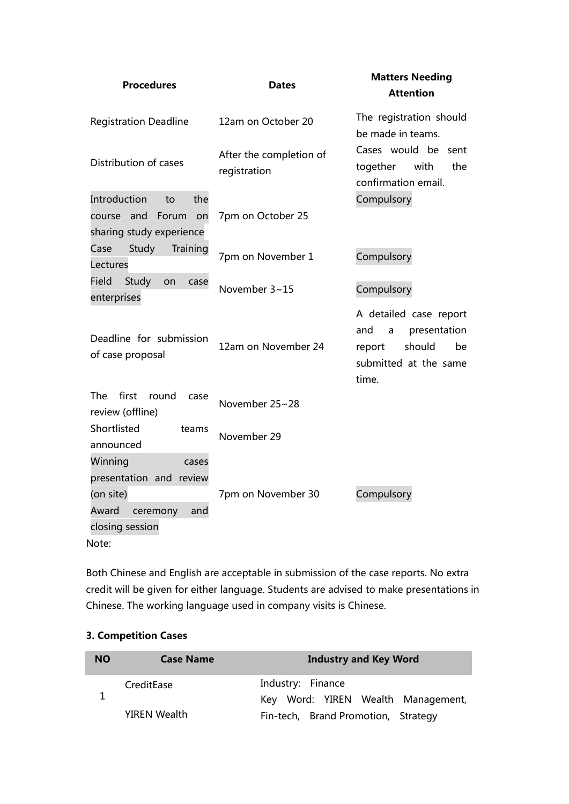| <b>Procedures</b>                                                                     | <b>Dates</b>                            | <b>Matters Needing</b><br><b>Attention</b>                                                                     |
|---------------------------------------------------------------------------------------|-----------------------------------------|----------------------------------------------------------------------------------------------------------------|
| <b>Registration Deadline</b>                                                          | 12am on October 20                      | The registration should<br>be made in teams.                                                                   |
| Distribution of cases                                                                 | After the completion of<br>registration | Cases would be<br>sent<br>together<br>with<br>the<br>confirmation email.                                       |
| Introduction<br>the<br>to<br>Forum<br>course<br>and<br>on<br>sharing study experience | 7pm on October 25                       | Compulsory                                                                                                     |
| Training<br>Case<br>Study<br>Lectures                                                 | 7pm on November 1                       | Compulsory                                                                                                     |
| <b>Field</b><br>Study<br>on<br>case<br>enterprises                                    | November 3~15                           | Compulsory                                                                                                     |
| Deadline for submission<br>of case proposal                                           | 12am on November 24                     | A detailed case report<br>presentation<br>and<br>a<br>should<br>be<br>report<br>submitted at the same<br>time. |
| The<br>first<br>round<br>case<br>review (offline)                                     | November 25~28                          |                                                                                                                |
| Shortlisted<br>teams<br>announced                                                     | November 29                             |                                                                                                                |
| Winning<br>cases<br>presentation and review                                           |                                         |                                                                                                                |
| (on site)<br>ceremony<br>Award<br>and<br>closing session<br>Note:                     | 7pm on November 30                      | Compulsory                                                                                                     |

Both Chinese and English are acceptable in submission of the case reports. No extra credit will be given for either language. Students are advised to make presentations in Chinese. The working language used in company visits is Chinese.

| <b>NO</b> | <b>Case Name</b>    | <b>Industry and Key Word</b>                            |
|-----------|---------------------|---------------------------------------------------------|
|           | CreditEase          | Industry: Finance<br>Key Word: YIREN Wealth Management, |
|           | <b>YIREN Wealth</b> | Fin-tech, Brand Promotion, Strategy                     |

# **3. Competition Cases**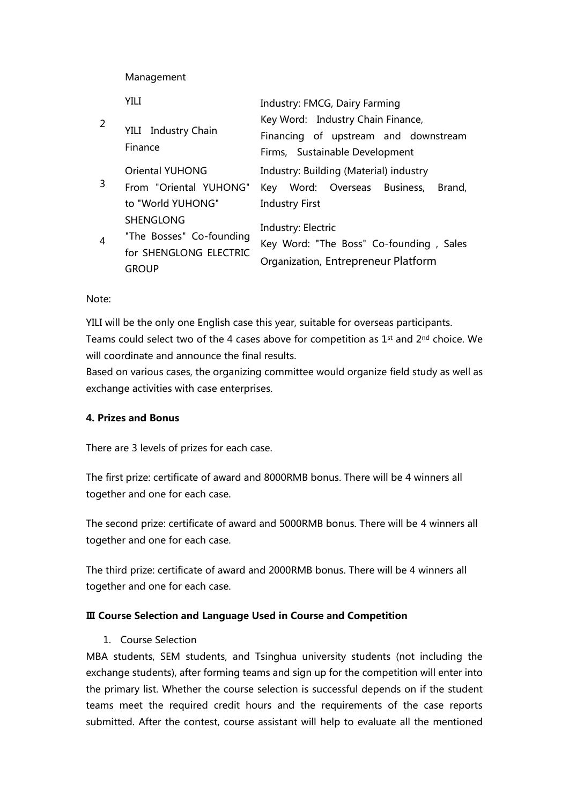Management

|                  | YILI                                                                                                        | Industry: FMCG, Dairy Farming                                                                                                 |
|------------------|-------------------------------------------------------------------------------------------------------------|-------------------------------------------------------------------------------------------------------------------------------|
| 2                | YILI Industry Chain<br>Finance                                                                              | Key Word: Industry Chain Finance,<br>Financing of upstream and downstream<br>Firms, Sustainable Development                   |
| 3                | <b>Oriental YUHONG</b><br>From "Oriental YUHONG"                                                            | Industry: Building (Material) industry<br>Brand,<br>Word: Overseas Business,<br>Key                                           |
| $\boldsymbol{A}$ | to "World YUHONG"<br><b>SHENGLONG</b><br>"The Bosses" Co-founding<br>for SHENGLONG ELECTRIC<br><b>GROUP</b> | <b>Industry First</b><br>Industry: Electric<br>Key Word: "The Boss" Co-founding, Sales<br>Organization, Entrepreneur Platform |

Note:

YILI will be the only one English case this year, suitable for overseas participants. Teams could select two of the 4 cases above for competition as  $1<sup>st</sup>$  and  $2<sup>nd</sup>$  choice. We will coordinate and announce the final results.

Based on various cases, the organizing committee would organize field study as well as exchange activities with case enterprises.

#### **4. Prizes and Bonus**

There are 3 levels of prizes for each case.

The first prize: certificate of award and 8000RMB bonus. There will be 4 winners all together and one for each case.

The second prize: certificate of award and 5000RMB bonus. There will be 4 winners all together and one for each case.

The third prize: certificate of award and 2000RMB bonus. There will be 4 winners all together and one for each case.

#### **Ⅲ Course Selection and Language Used in Course and Competition**

1. Course Selection

MBA students, SEM students, and Tsinghua university students (not including the exchange students), after forming teams and sign up for the competition will enter into the primary list. Whether the course selection is successful depends on if the student teams meet the required credit hours and the requirements of the case reports submitted. After the contest, course assistant will help to evaluate all the mentioned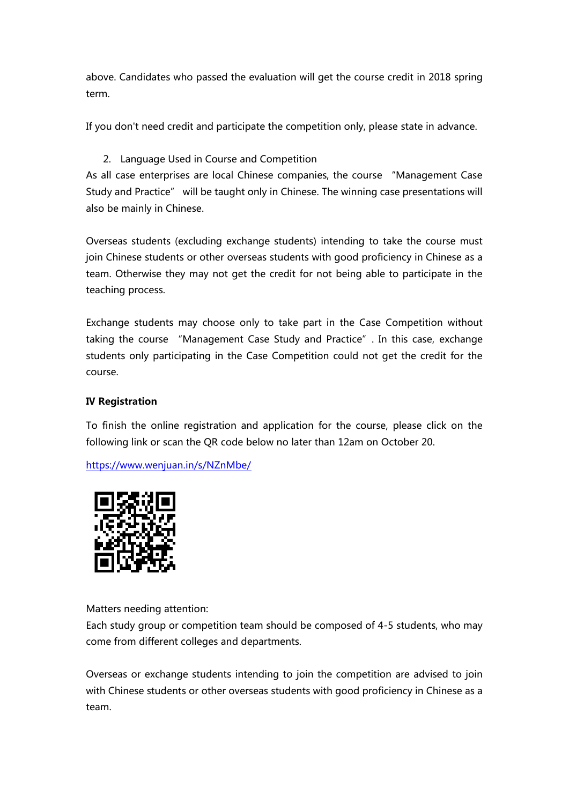above. Candidates who passed the evaluation will get the course credit in 2018 spring term.

If you don't need credit and participate the competition only, please state in advance.

2. Language Used in Course and Competition

As all case enterprises are local Chinese companies, the course "Management Case Study and Practice" will be taught only in Chinese. The winning case presentations will also be mainly in Chinese.

Overseas students (excluding exchange students) intending to take the course must join Chinese students or other overseas students with good proficiency in Chinese as a team. Otherwise they may not get the credit for not being able to participate in the teaching process.

Exchange students may choose only to take part in the Case Competition without taking the course "Management Case Study and Practice". In this case, exchange students only participating in the Case Competition could not get the credit for the course.

# **Ⅳ Registration**

To finish the online registration and application for the course, please click on the following link or scan the QR code below no later than 12am on October 20.

<https://www.wenjuan.in/s/NZnMbe/>



Matters needing attention:

Each study group or competition team should be composed of 4-5 students, who may come from different colleges and departments.

Overseas or exchange students intending to join the competition are advised to join with Chinese students or other overseas students with good proficiency in Chinese as a team.